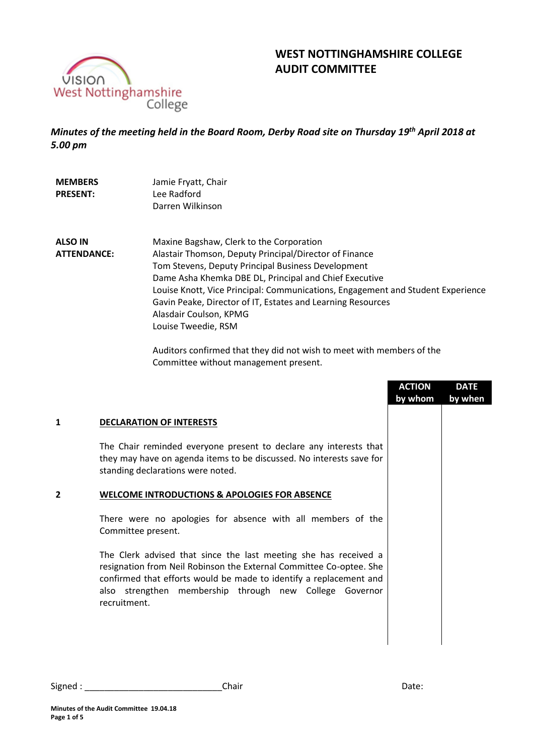

**MEMBERS PRESENT:**

# **WEST NOTTINGHAMSHIRE COLLEGE AUDIT COMMITTEE**

*Minutes of the meeting held in the Board Room, Derby Road site on Thursday 19 th April 2018 at 5.00 pm*

> Jamie Fryatt, Chair Lee Radford

|                    | Darren Wilkinson                                                                |
|--------------------|---------------------------------------------------------------------------------|
| <b>ALSO IN</b>     | Maxine Bagshaw, Clerk to the Corporation                                        |
| <b>ATTENDANCE:</b> | Alastair Thomson, Deputy Principal/Director of Finance                          |
|                    | Tom Stevens, Deputy Principal Business Development                              |
|                    | Dame Asha Khemka DBE DL, Principal and Chief Executive                          |
|                    | Louise Knott, Vice Principal: Communications, Engagement and Student Experience |
|                    | Gavin Peake, Director of IT, Estates and Learning Resources                     |
|                    | Alasdair Coulson, KPMG                                                          |
|                    | Louise Tweedie, RSM                                                             |

Auditors confirmed that they did not wish to meet with members of the Committee without management present.

|   |                                                                                                                                                                                                                                                                                          | <b>ACTION</b><br>by whom | <b>DATE</b><br>by when |
|---|------------------------------------------------------------------------------------------------------------------------------------------------------------------------------------------------------------------------------------------------------------------------------------------|--------------------------|------------------------|
| 1 | <b>DECLARATION OF INTERESTS</b>                                                                                                                                                                                                                                                          |                          |                        |
|   | The Chair reminded everyone present to declare any interests that<br>they may have on agenda items to be discussed. No interests save for<br>standing declarations were noted.                                                                                                           |                          |                        |
| 2 | <b>WELCOME INTRODUCTIONS &amp; APOLOGIES FOR ABSENCE</b>                                                                                                                                                                                                                                 |                          |                        |
|   | There were no apologies for absence with all members of the<br>Committee present.                                                                                                                                                                                                        |                          |                        |
|   | The Clerk advised that since the last meeting she has received a<br>resignation from Neil Robinson the External Committee Co-optee. She<br>confirmed that efforts would be made to identify a replacement and<br>also strengthen membership through new College Governor<br>recruitment. |                          |                        |
|   |                                                                                                                                                                                                                                                                                          |                          |                        |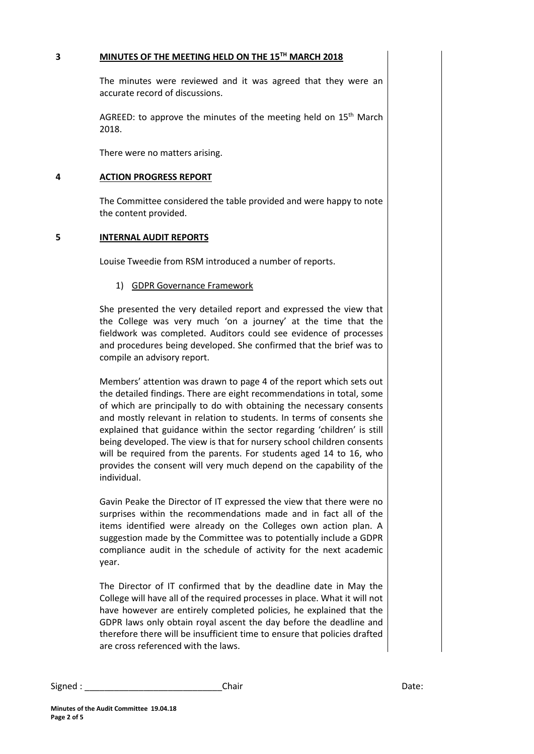#### **3 MINUTES OF THE MEETING HELD ON THE 15TH MARCH 2018**

The minutes were reviewed and it was agreed that they were an accurate record of discussions.

AGREED: to approve the minutes of the meeting held on  $15<sup>th</sup>$  March 2018.

There were no matters arising.

#### **4 ACTION PROGRESS REPORT**

The Committee considered the table provided and were happy to note the content provided.

## **5 INTERNAL AUDIT REPORTS**

Louise Tweedie from RSM introduced a number of reports.

## 1) GDPR Governance Framework

She presented the very detailed report and expressed the view that the College was very much 'on a journey' at the time that the fieldwork was completed. Auditors could see evidence of processes and procedures being developed. She confirmed that the brief was to compile an advisory report.

Members' attention was drawn to page 4 of the report which sets out the detailed findings. There are eight recommendations in total, some of which are principally to do with obtaining the necessary consents and mostly relevant in relation to students. In terms of consents she explained that guidance within the sector regarding 'children' is still being developed. The view is that for nursery school children consents will be required from the parents. For students aged 14 to 16, who provides the consent will very much depend on the capability of the individual.

Gavin Peake the Director of IT expressed the view that there were no surprises within the recommendations made and in fact all of the items identified were already on the Colleges own action plan. A suggestion made by the Committee was to potentially include a GDPR compliance audit in the schedule of activity for the next academic year.

The Director of IT confirmed that by the deadline date in May the College will have all of the required processes in place. What it will not have however are entirely completed policies, he explained that the GDPR laws only obtain royal ascent the day before the deadline and therefore there will be insufficient time to ensure that policies drafted are cross referenced with the laws.

Signed : \_\_\_\_\_\_\_\_\_\_\_\_\_\_\_\_\_\_\_\_\_\_\_\_\_\_\_\_Chair Date: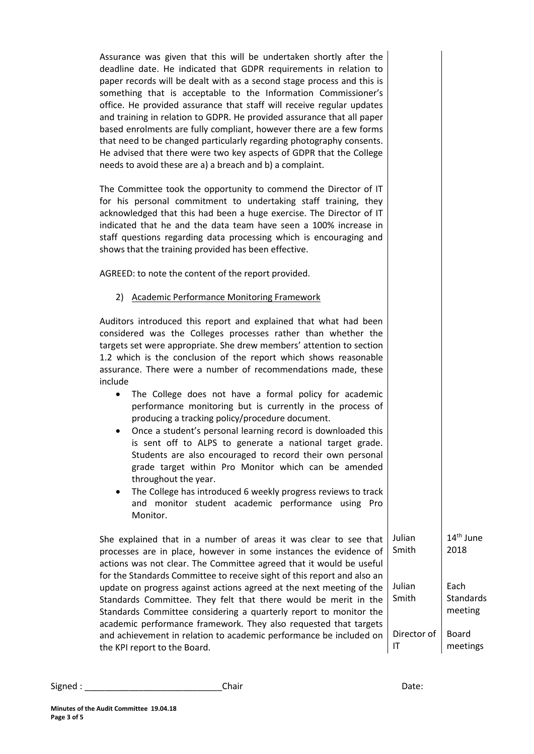| Assurance was given that this will be undertaken shortly after the<br>deadline date. He indicated that GDPR requirements in relation to<br>paper records will be dealt with as a second stage process and this is<br>something that is acceptable to the Information Commissioner's<br>office. He provided assurance that staff will receive regular updates<br>and training in relation to GDPR. He provided assurance that all paper<br>based enrolments are fully compliant, however there are a few forms<br>that need to be changed particularly regarding photography consents.<br>He advised that there were two key aspects of GDPR that the College<br>needs to avoid these are a) a breach and b) a complaint.                                                                                                                                                                                                                                  |                   |                               |
|-----------------------------------------------------------------------------------------------------------------------------------------------------------------------------------------------------------------------------------------------------------------------------------------------------------------------------------------------------------------------------------------------------------------------------------------------------------------------------------------------------------------------------------------------------------------------------------------------------------------------------------------------------------------------------------------------------------------------------------------------------------------------------------------------------------------------------------------------------------------------------------------------------------------------------------------------------------|-------------------|-------------------------------|
| The Committee took the opportunity to commend the Director of IT<br>for his personal commitment to undertaking staff training, they<br>acknowledged that this had been a huge exercise. The Director of IT<br>indicated that he and the data team have seen a 100% increase in<br>staff questions regarding data processing which is encouraging and<br>shows that the training provided has been effective.                                                                                                                                                                                                                                                                                                                                                                                                                                                                                                                                              |                   |                               |
| AGREED: to note the content of the report provided.                                                                                                                                                                                                                                                                                                                                                                                                                                                                                                                                                                                                                                                                                                                                                                                                                                                                                                       |                   |                               |
| 2) Academic Performance Monitoring Framework                                                                                                                                                                                                                                                                                                                                                                                                                                                                                                                                                                                                                                                                                                                                                                                                                                                                                                              |                   |                               |
| Auditors introduced this report and explained that what had been<br>considered was the Colleges processes rather than whether the<br>targets set were appropriate. She drew members' attention to section<br>1.2 which is the conclusion of the report which shows reasonable<br>assurance. There were a number of recommendations made, these<br>include<br>The College does not have a formal policy for academic<br>performance monitoring but is currently in the process of<br>producing a tracking policy/procedure document.<br>Once a student's personal learning record is downloaded this<br>٠<br>is sent off to ALPS to generate a national target grade.<br>Students are also encouraged to record their own personal<br>grade target within Pro Monitor which can be amended<br>throughout the year.<br>The College has introduced 6 weekly progress reviews to track<br>٠<br>and monitor student academic performance using Pro<br>Monitor. |                   |                               |
| She explained that in a number of areas it was clear to see that<br>processes are in place, however in some instances the evidence of<br>actions was not clear. The Committee agreed that it would be useful<br>for the Standards Committee to receive sight of this report and also an                                                                                                                                                                                                                                                                                                                                                                                                                                                                                                                                                                                                                                                                   | Julian<br>Smith   | 14 <sup>th</sup> June<br>2018 |
| update on progress against actions agreed at the next meeting of the<br>Standards Committee. They felt that there would be merit in the<br>Standards Committee considering a quarterly report to monitor the<br>academic performance framework. They also requested that targets                                                                                                                                                                                                                                                                                                                                                                                                                                                                                                                                                                                                                                                                          | Julian<br>Smith   | Each<br>Standards<br>meeting  |
| and achievement in relation to academic performance be included on<br>the KPI report to the Board.                                                                                                                                                                                                                                                                                                                                                                                                                                                                                                                                                                                                                                                                                                                                                                                                                                                        | Director of<br>IT | <b>Board</b><br>meetings      |

Signed : \_\_\_\_\_\_\_\_\_\_\_\_\_\_\_\_\_\_\_\_\_\_\_\_\_\_\_\_Chair Date: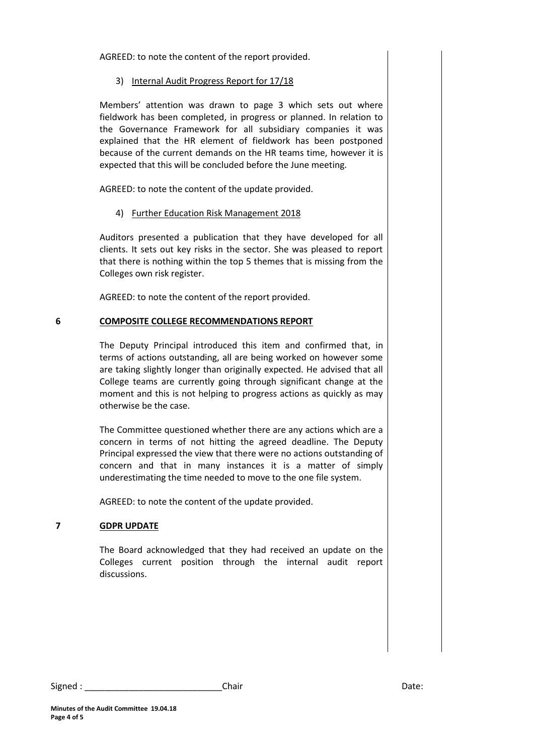AGREED: to note the content of the report provided.

#### 3) Internal Audit Progress Report for 17/18

Members' attention was drawn to page 3 which sets out where fieldwork has been completed, in progress or planned. In relation to the Governance Framework for all subsidiary companies it was explained that the HR element of fieldwork has been postponed because of the current demands on the HR teams time, however it is expected that this will be concluded before the June meeting.

AGREED: to note the content of the update provided.

## 4) Further Education Risk Management 2018

Auditors presented a publication that they have developed for all clients. It sets out key risks in the sector. She was pleased to report that there is nothing within the top 5 themes that is missing from the Colleges own risk register.

AGREED: to note the content of the report provided.

## **6 COMPOSITE COLLEGE RECOMMENDATIONS REPORT**

The Deputy Principal introduced this item and confirmed that, in terms of actions outstanding, all are being worked on however some are taking slightly longer than originally expected. He advised that all College teams are currently going through significant change at the moment and this is not helping to progress actions as quickly as may otherwise be the case.

The Committee questioned whether there are any actions which are a concern in terms of not hitting the agreed deadline. The Deputy Principal expressed the view that there were no actions outstanding of concern and that in many instances it is a matter of simply underestimating the time needed to move to the one file system.

AGREED: to note the content of the update provided.

## **7 GDPR UPDATE**

The Board acknowledged that they had received an update on the Colleges current position through the internal audit report discussions.